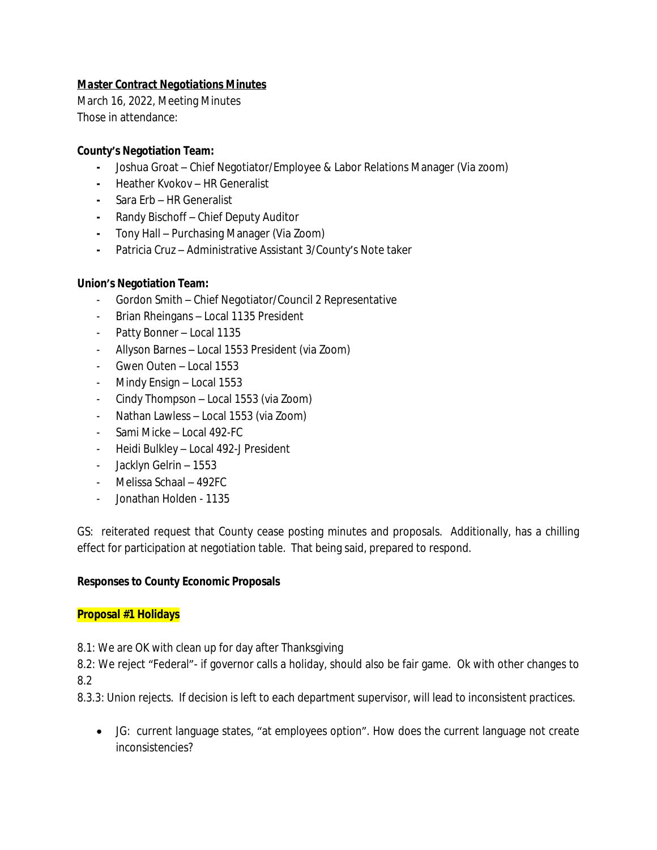# *Master Contract Negotiations Minutes*

March 16, 2022, Meeting Minutes Those in attendance:

# **County's Negotiation Team:**

- **-** Joshua Groat Chief Negotiator/Employee & Labor Relations Manager (Via zoom)
- **-** Heather Kvokov HR Generalist
- **-** Sara Erb HR Generalist
- **-** Randy Bischoff Chief Deputy Auditor
- **-** Tony Hall Purchasing Manager (Via Zoom)
- **-** Patricia Cruz Administrative Assistant 3/County's Note taker

# **Union's Negotiation Team:**

- Gordon Smith Chief Negotiator/Council 2 Representative
- Brian Rheingans Local 1135 President
- Patty Bonner Local 1135
- Allyson Barnes Local 1553 President (via Zoom)
- Gwen Outen Local 1553
- Mindy Ensign Local 1553
- Cindy Thompson Local 1553 (via Zoom)
- Nathan Lawless Local 1553 (via Zoom)
- Sami Micke Local 492-FC
- Heidi Bulkley Local 492-J President
- Jacklyn Gelrin 1553
- Melissa Schaal 492FC
- Jonathan Holden 1135

GS: reiterated request that County cease posting minutes and proposals. Additionally, has a chilling effect for participation at negotiation table. That being said, prepared to respond.

# **Responses to County Economic Proposals**

## **Proposal #1 Holidays**

8.1: We are OK with clean up for day after Thanksgiving

8.2: We reject "Federal"- if governor calls a holiday, should also be fair game. Ok with other changes to 8.2

8.3.3: Union rejects. If decision is left to each department supervisor, will lead to inconsistent practices.

 JG: current language states, "at employees option". How does the current language not create inconsistencies?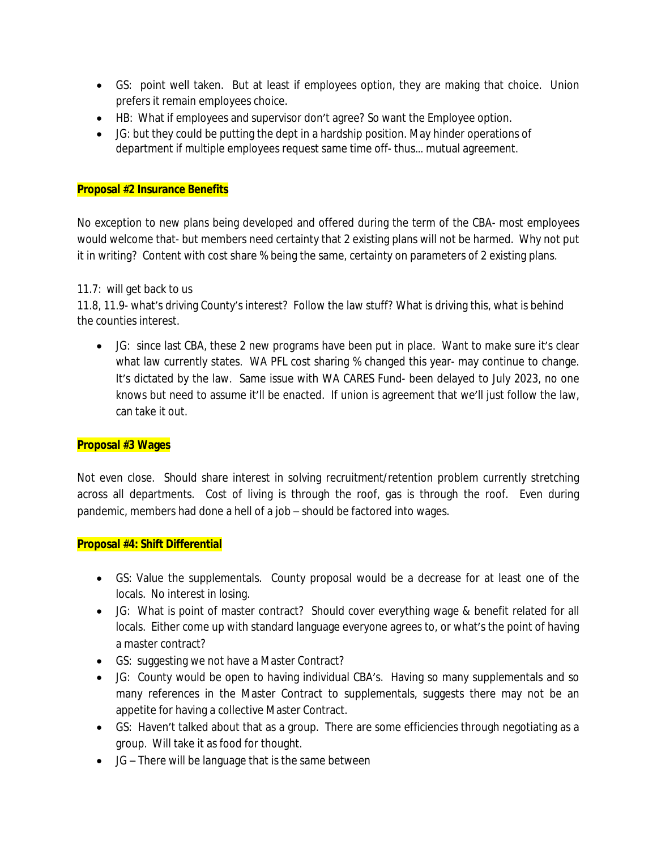- GS: point well taken. But at least if employees option, they are making that choice. Union prefers it remain employees choice.
- HB: What if employees and supervisor don't agree? So want the Employee option.
- JG: but they could be putting the dept in a hardship position. May hinder operations of department if multiple employees request same time off- thus… mutual agreement.

## **Proposal #2 Insurance Benefits**

No exception to new plans being developed and offered during the term of the CBA- most employees would welcome that- but members need certainty that 2 existing plans will not be harmed. Why not put it in writing? Content with cost share % being the same, certainty on parameters of 2 existing plans.

## 11.7: will get back to us

11.8, 11.9- what's driving County's interest? Follow the law stuff? What is driving this, what is behind the counties interest.

 JG: since last CBA, these 2 new programs have been put in place. Want to make sure it's clear what law currently states. WA PFL cost sharing % changed this year- may continue to change. It's dictated by the law. Same issue with WA CARES Fund- been delayed to July 2023, no one knows but need to assume it'll be enacted. If union is agreement that we'll just follow the law, can take it out.

## **Proposal #3 Wages**

Not even close. Should share interest in solving recruitment/retention problem currently stretching across all departments. Cost of living is through the roof, gas is through the roof. Even during pandemic, members had done a hell of a job – should be factored into wages.

## **Proposal #4: Shift Differential**

- GS: Value the supplementals. County proposal would be a decrease for at least one of the locals. No interest in losing.
- JG: What is point of master contract? Should cover everything wage & benefit related for all locals. Either come up with standard language everyone agrees to, or what's the point of having a master contract?
- GS: suggesting we not have a Master Contract?
- JG: County would be open to having individual CBA's. Having so many supplementals and so many references in the Master Contract to supplementals, suggests there may not be an appetite for having a collective Master Contract.
- GS: Haven't talked about that as a group. There are some efficiencies through negotiating as a group. Will take it as food for thought.
- JG There will be language that is the same between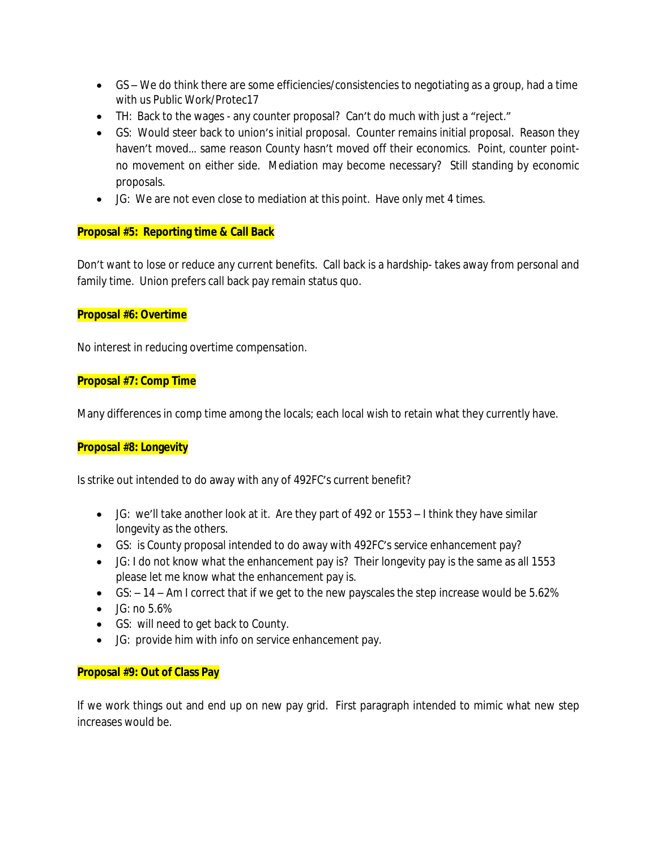- GS We do think there are some efficiencies/consistencies to negotiating as a group, had a time with us Public Work/Protec17
- TH: Back to the wages any counter proposal? Can't do much with just a "reject."
- GS: Would steer back to union's initial proposal. Counter remains initial proposal. Reason they haven't moved… same reason County hasn't moved off their economics. Point, counter pointno movement on either side. Mediation may become necessary? Still standing by economic proposals.
- JG: We are not even close to mediation at this point. Have only met 4 times.

## **Proposal #5: Reporting time & Call Back**

Don't want to lose or reduce any current benefits. Call back is a hardship- takes away from personal and family time. Union prefers call back pay remain status quo.

## **Proposal #6: Overtime**

No interest in reducing overtime compensation.

## **Proposal #7: Comp Time**

Many differences in comp time among the locals; each local wish to retain what they currently have.

## **Proposal #8: Longevity**

Is strike out intended to do away with any of 492FC's current benefit?

- JG: we'll take another look at it. Are they part of 492 or 1553 I think they have similar longevity as the others.
- GS: is County proposal intended to do away with 492FC's service enhancement pay?
- JG: I do not know what the enhancement pay is? Their longevity pay is the same as all 1553 please let me know what the enhancement pay is.
- $\bullet$  GS:  $-14$  Am I correct that if we get to the new payscales the step increase would be 5.62%
- $\bullet$  JG: no 5.6%
- GS: will need to get back to County.
- JG: provide him with info on service enhancement pay.

## **Proposal #9: Out of Class Pay**

If we work things out and end up on new pay grid. First paragraph intended to mimic what new step increases would be.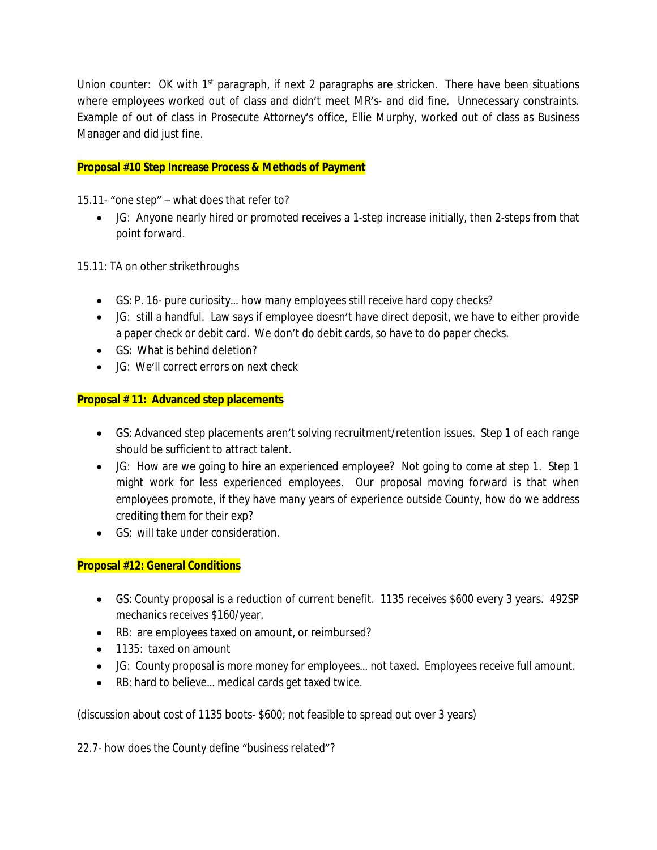Union counter: OK with 1<sup>st</sup> paragraph, if next 2 paragraphs are stricken. There have been situations where employees worked out of class and didn't meet MR's- and did fine. Unnecessary constraints. Example of out of class in Prosecute Attorney's office, Ellie Murphy, worked out of class as Business Manager and did just fine.

# **Proposal #10 Step Increase Process & Methods of Payment**

15.11- "one step" – what does that refer to?

 JG: Anyone nearly hired or promoted receives a 1-step increase initially, then 2-steps from that point forward.

15.11: TA on other strikethroughs

- GS: P. 16- pure curiosity… how many employees still receive hard copy checks?
- JG: still a handful. Law says if employee doesn't have direct deposit, we have to either provide a paper check or debit card. We don't do debit cards, so have to do paper checks.
- GS: What is behind deletion?
- **JG: We'll correct errors on next check**

# **Proposal # 11: Advanced step placements**

- GS: Advanced step placements aren't solving recruitment/retention issues. Step 1 of each range should be sufficient to attract talent.
- JG: How are we going to hire an experienced employee? Not going to come at step 1. Step 1 might work for less experienced employees. Our proposal moving forward is that when employees promote, if they have many years of experience outside County, how do we address crediting them for their exp?
- GS: will take under consideration.

# **Proposal #12: General Conditions**

- GS: County proposal is a reduction of current benefit. 1135 receives \$600 every 3 years. 492SP mechanics receives \$160/year.
- RB: are employees taxed on amount, or reimbursed?
- 1135: taxed on amount
- JG: County proposal is more money for employees… not taxed. Employees receive full amount.
- RB: hard to believe... medical cards get taxed twice.

(discussion about cost of 1135 boots- \$600; not feasible to spread out over 3 years)

22.7- how does the County define "business related"?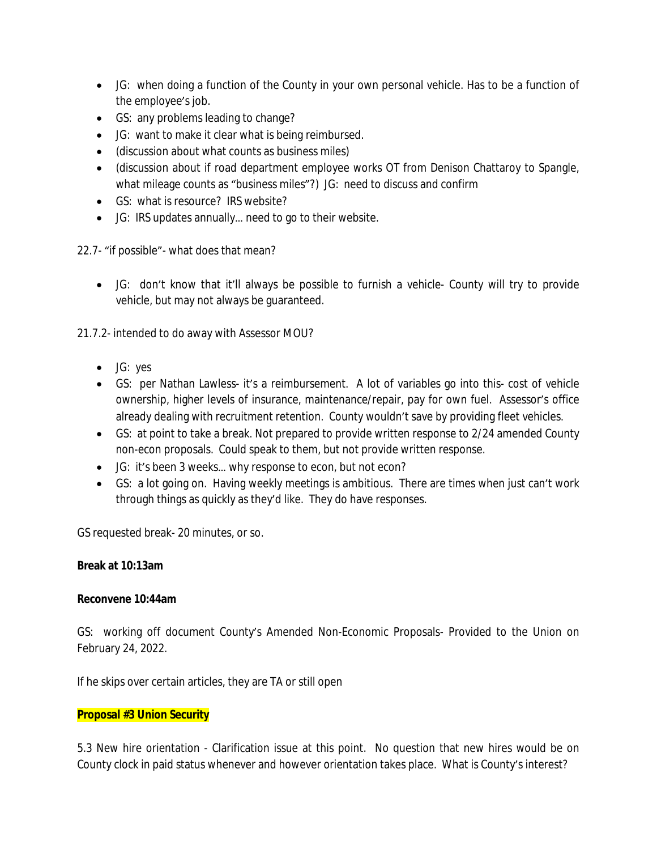- JG: when doing a function of the County in your own personal vehicle. Has to be a function of the employee's job.
- GS: any problems leading to change?
- JG: want to make it clear what is being reimbursed.
- (discussion about what counts as business miles)
- (discussion about if road department employee works OT from Denison Chattaroy to Spangle, what mileage counts as "business miles"?) JG: need to discuss and confirm
- GS: what is resource? IRS website?
- JG: IRS updates annually… need to go to their website.

22.7- "if possible"- what does that mean?

 JG: don't know that it'll always be possible to furnish a vehicle- County will try to provide vehicle, but may not always be guaranteed.

21.7.2- intended to do away with Assessor MOU?

- JG: yes
- GS: per Nathan Lawless- it's a reimbursement. A lot of variables go into this- cost of vehicle ownership, higher levels of insurance, maintenance/repair, pay for own fuel. Assessor's office already dealing with recruitment retention. County wouldn't save by providing fleet vehicles.
- GS: at point to take a break. Not prepared to provide written response to 2/24 amended County non-econ proposals. Could speak to them, but not provide written response.
- JG: it's been 3 weeks… why response to econ, but not econ?
- GS: a lot going on. Having weekly meetings is ambitious. There are times when just can't work through things as quickly as they'd like. They do have responses.

GS requested break- 20 minutes, or so.

## **Break at 10:13am**

## **Reconvene 10:44am**

GS: working off document County's Amended Non-Economic Proposals- Provided to the Union on February 24, 2022.

If he skips over certain articles, they are TA or still open

## **Proposal #3 Union Security**

5.3 New hire orientation - Clarification issue at this point. No question that new hires would be on County clock in paid status whenever and however orientation takes place. What is County's interest?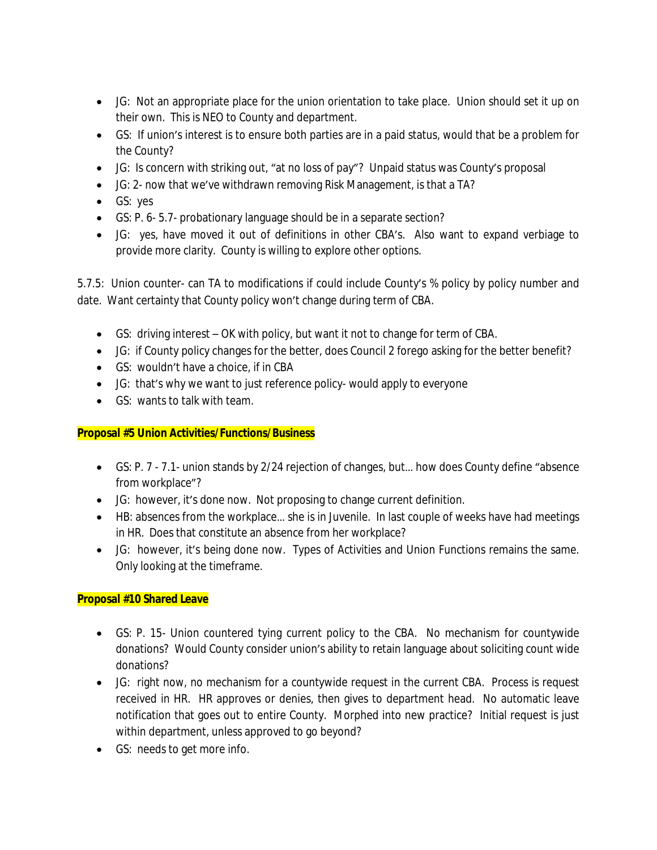- JG: Not an appropriate place for the union orientation to take place. Union should set it up on their own. This is NEO to County and department.
- GS: If union's interest is to ensure both parties are in a paid status, would that be a problem for the County?
- JG: Is concern with striking out, "at no loss of pay"? Unpaid status was County's proposal
- JG: 2- now that we've withdrawn removing Risk Management, is that a TA?
- GS: yes
- GS: P. 6- 5.7- probationary language should be in a separate section?
- JG: yes, have moved it out of definitions in other CBA's. Also want to expand verbiage to provide more clarity. County is willing to explore other options.

5.7.5: Union counter- can TA to modifications if could include County's % policy by policy number and date. Want certainty that County policy won't change during term of CBA.

- GS: driving interest OK with policy, but want it not to change for term of CBA.
- JG: if County policy changes for the better, does Council 2 forego asking for the better benefit?
- GS: wouldn't have a choice, if in CBA
- JG: that's why we want to just reference policy- would apply to everyone
- GS: wants to talk with team.

# **Proposal #5 Union Activities/Functions/Business**

- GS: P. 7 7.1- union stands by 2/24 rejection of changes, but… how does County define "absence from workplace"?
- JG: however, it's done now. Not proposing to change current definition.
- HB: absences from the workplace… she is in Juvenile. In last couple of weeks have had meetings in HR. Does that constitute an absence from her workplace?
- JG: however, it's being done now. Types of Activities and Union Functions remains the same. Only looking at the timeframe.

# **Proposal #10 Shared Leave**

- GS: P. 15- Union countered tying current policy to the CBA. No mechanism for countywide donations? Would County consider union's ability to retain language about soliciting count wide donations?
- JG: right now, no mechanism for a countywide request in the current CBA. Process is request received in HR. HR approves or denies, then gives to department head. No automatic leave notification that goes out to entire County. Morphed into new practice? Initial request is just within department, unless approved to go beyond?
- GS: needs to get more info.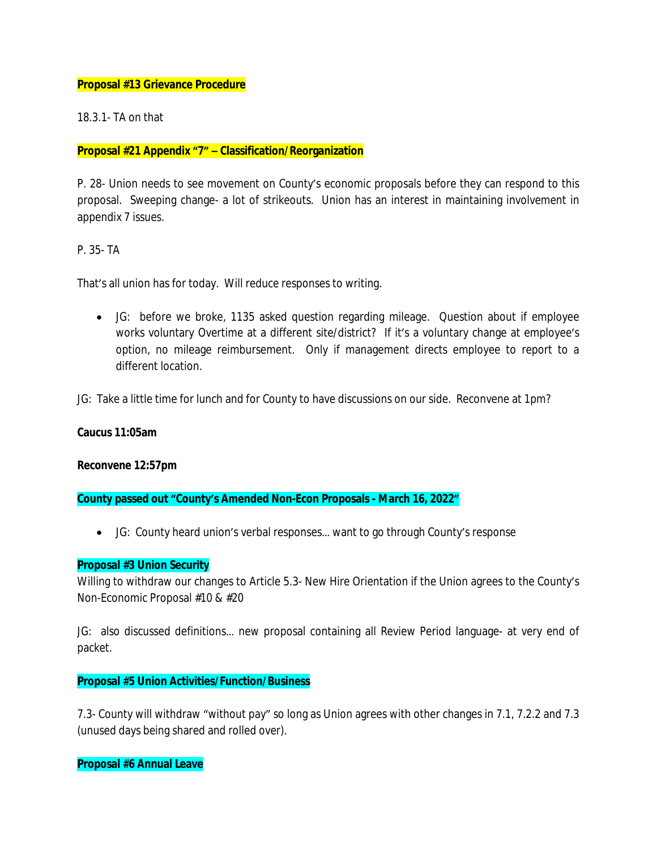## **Proposal #13 Grievance Procedure**

18.3.1- TA on that

### **Proposal #21 Appendix "7" – Classification/Reorganization**

P. 28- Union needs to see movement on County's economic proposals before they can respond to this proposal. Sweeping change- a lot of strikeouts. Union has an interest in maintaining involvement in appendix 7 issues.

P. 35- TA

That's all union has for today. Will reduce responses to writing.

 JG: before we broke, 1135 asked question regarding mileage. Question about if employee works voluntary Overtime at a different site/district? If it's a voluntary change at employee's option, no mileage reimbursement. Only if management directs employee to report to a different location.

JG: Take a little time for lunch and for County to have discussions on our side. Reconvene at 1pm?

#### **Caucus 11:05am**

**Reconvene 12:57pm**

**County passed out "County's Amended Non-Econ Proposals - March 16, 2022"**

JG: County heard union's verbal responses… want to go through County's response

## **Proposal #3 Union Security**

Willing to withdraw our changes to Article 5.3- New Hire Orientation if the Union agrees to the County's Non-Economic Proposal #10 & #20

JG: also discussed definitions… new proposal containing all Review Period language- at very end of packet.

#### **Proposal #5 Union Activities/Function/Business**

7.3- County will withdraw "without pay" so long as Union agrees with other changes in 7.1, 7.2.2 and 7.3 (unused days being shared and rolled over).

**Proposal #6 Annual Leave**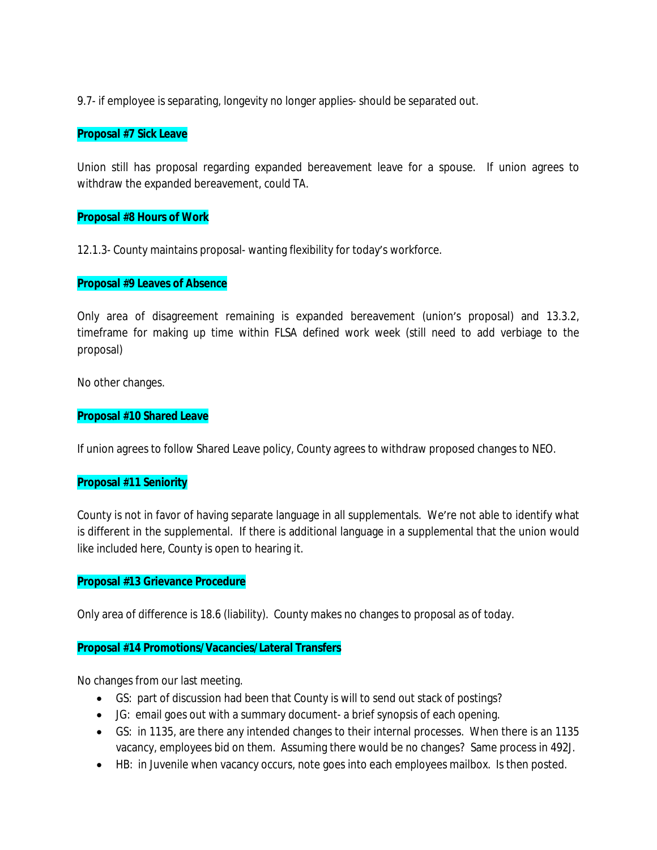9.7- if employee is separating, longevity no longer applies- should be separated out.

### **Proposal #7 Sick Leave**

Union still has proposal regarding expanded bereavement leave for a spouse. If union agrees to withdraw the expanded bereavement, could TA.

### **Proposal #8 Hours of Work**

12.1.3- County maintains proposal- wanting flexibility for today's workforce.

### **Proposal #9 Leaves of Absence**

Only area of disagreement remaining is expanded bereavement (union's proposal) and 13.3.2, timeframe for making up time within FLSA defined work week (still need to add verbiage to the proposal)

No other changes.

### **Proposal #10 Shared Leave**

If union agrees to follow Shared Leave policy, County agrees to withdraw proposed changes to NEO.

#### **Proposal #11 Seniority**

County is not in favor of having separate language in all supplementals. We're not able to identify what is different in the supplemental. If there is additional language in a supplemental that the union would like included here, County is open to hearing it.

#### **Proposal #13 Grievance Procedure**

Only area of difference is 18.6 (liability). County makes no changes to proposal as of today.

#### **Proposal #14 Promotions/Vacancies/Lateral Transfers**

No changes from our last meeting.

- GS: part of discussion had been that County is will to send out stack of postings?
- JG: email goes out with a summary document- a brief synopsis of each opening.
- GS: in 1135, are there any intended changes to their internal processes. When there is an 1135 vacancy, employees bid on them. Assuming there would be no changes? Same process in 492J.
- HB: in Juvenile when vacancy occurs, note goes into each employees mailbox. Is then posted.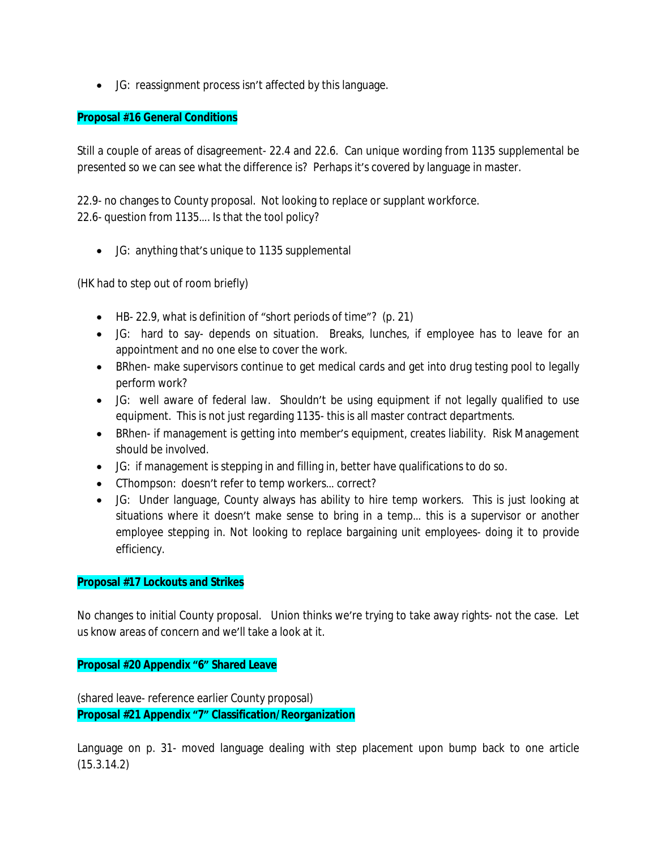JG: reassignment process isn't affected by this language.

## **Proposal #16 General Conditions**

Still a couple of areas of disagreement- 22.4 and 22.6. Can unique wording from 1135 supplemental be presented so we can see what the difference is? Perhaps it's covered by language in master.

22.9- no changes to County proposal. Not looking to replace or supplant workforce. 22.6- question from 1135…. Is that the tool policy?

JG: anything that's unique to 1135 supplemental

(HK had to step out of room briefly)

- HB- 22.9, what is definition of "short periods of time"? (p. 21)
- JG: hard to say- depends on situation. Breaks, lunches, if employee has to leave for an appointment and no one else to cover the work.
- BRhen- make supervisors continue to get medical cards and get into drug testing pool to legally perform work?
- JG: well aware of federal law. Shouldn't be using equipment if not legally qualified to use equipment. This is not just regarding 1135- this is all master contract departments.
- BRhen- if management is getting into member's equipment, creates liability. Risk Management should be involved.
- JG: if management is stepping in and filling in, better have qualifications to do so.
- CThompson: doesn't refer to temp workers… correct?
- JG: Under language, County always has ability to hire temp workers. This is just looking at situations where it doesn't make sense to bring in a temp… this is a supervisor or another employee stepping in. Not looking to replace bargaining unit employees- doing it to provide efficiency.

## **Proposal #17 Lockouts and Strikes**

No changes to initial County proposal. Union thinks we're trying to take away rights- not the case. Let us know areas of concern and we'll take a look at it.

## **Proposal #20 Appendix "6" Shared Leave**

(shared leave- reference earlier County proposal) **Proposal #21 Appendix "7" Classification/Reorganization**

Language on p. 31- moved language dealing with step placement upon bump back to one article (15.3.14.2)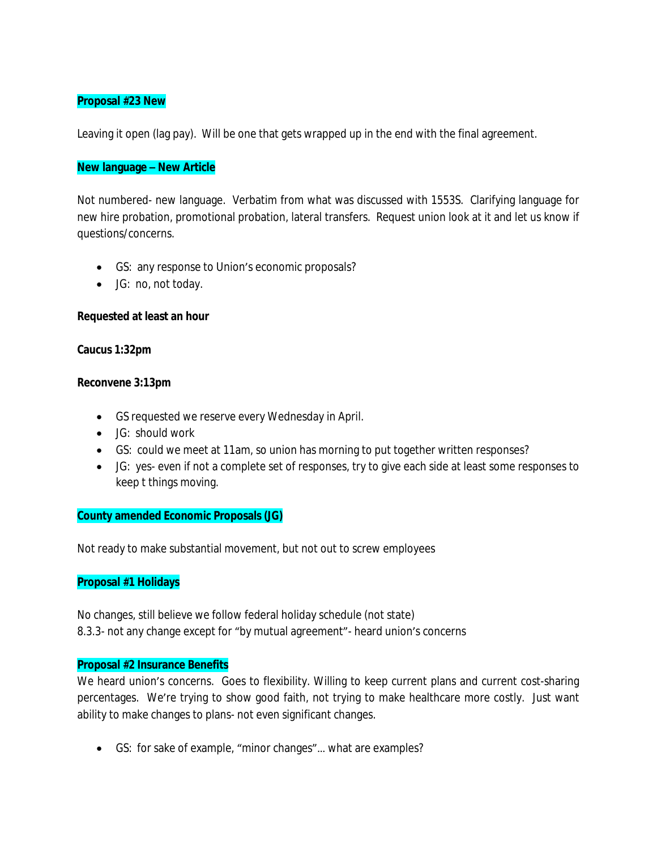## **Proposal #23 New**

Leaving it open (lag pay). Will be one that gets wrapped up in the end with the final agreement.

### **New language – New Article**

Not numbered- new language. Verbatim from what was discussed with 1553S. Clarifying language for new hire probation, promotional probation, lateral transfers. Request union look at it and let us know if questions/concerns.

- GS: any response to Union's economic proposals?
- JG: no, not today.

## **Requested at least an hour**

#### **Caucus 1:32pm**

### **Reconvene 3:13pm**

- GS requested we reserve every Wednesday in April.
- JG: should work
- GS: could we meet at 11am, so union has morning to put together written responses?
- JG: yes- even if not a complete set of responses, try to give each side at least some responses to keep t things moving.

#### **County amended Economic Proposals (JG)**

Not ready to make substantial movement, but not out to screw employees

## **Proposal #1 Holidays**

No changes, still believe we follow federal holiday schedule (not state) 8.3.3- not any change except for "by mutual agreement"- heard union's concerns

## **Proposal #2 Insurance Benefits**

We heard union's concerns. Goes to flexibility. Willing to keep current plans and current cost-sharing percentages. We're trying to show good faith, not trying to make healthcare more costly. Just want ability to make changes to plans- not even significant changes.

GS: for sake of example, "minor changes"… what are examples?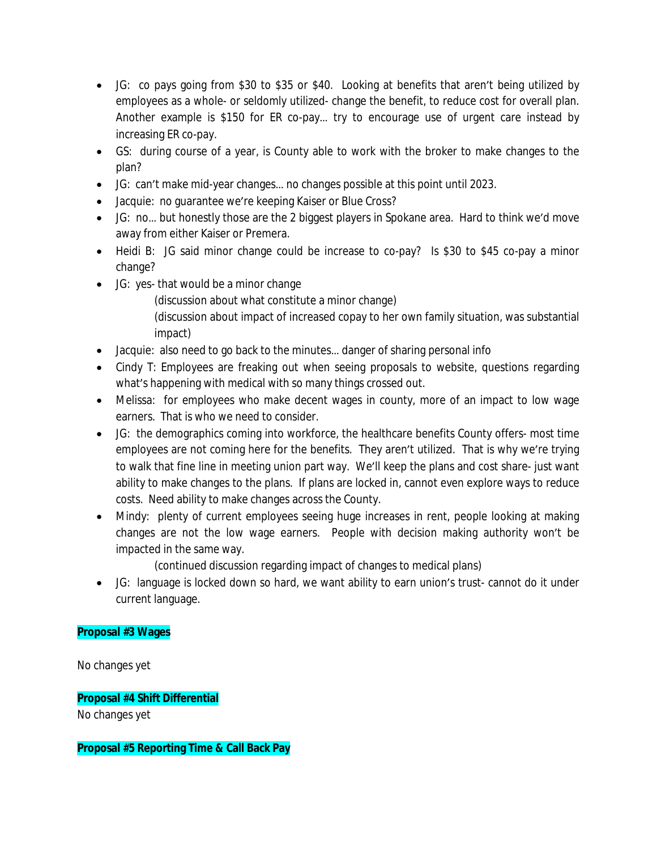- JG: co pays going from \$30 to \$35 or \$40. Looking at benefits that aren't being utilized by employees as a whole- or seldomly utilized- change the benefit, to reduce cost for overall plan. Another example is \$150 for ER co-pay… try to encourage use of urgent care instead by increasing ER co-pay.
- GS: during course of a year, is County able to work with the broker to make changes to the plan?
- JG: can't make mid-year changes… no changes possible at this point until 2023.
- Jacquie: no guarantee we're keeping Kaiser or Blue Cross?
- JG: no… but honestly those are the 2 biggest players in Spokane area. Hard to think we'd move away from either Kaiser or Premera.
- Heidi B: JG said minor change could be increase to co-pay? Is \$30 to \$45 co-pay a minor change?
- JG: yes- that would be a minor change

(discussion about what constitute a minor change)

(discussion about impact of increased copay to her own family situation, was substantial impact)

- Jacquie: also need to go back to the minutes... danger of sharing personal info
- Cindy T: Employees are freaking out when seeing proposals to website, questions regarding what's happening with medical with so many things crossed out.
- Melissa: for employees who make decent wages in county, more of an impact to low wage earners. That is who we need to consider.
- JG: the demographics coming into workforce, the healthcare benefits County offers- most time employees are not coming here for the benefits. They aren't utilized. That is why we're trying to walk that fine line in meeting union part way. We'll keep the plans and cost share- just want ability to make changes to the plans. If plans are locked in, cannot even explore ways to reduce costs. Need ability to make changes across the County.
- Mindy: plenty of current employees seeing huge increases in rent, people looking at making changes are not the low wage earners. People with decision making authority won't be impacted in the same way.

(continued discussion regarding impact of changes to medical plans)

 JG: language is locked down so hard, we want ability to earn union's trust- cannot do it under current language.

# **Proposal #3 Wages**

No changes yet

**Proposal #4 Shift Differential**

No changes yet

**Proposal #5 Reporting Time & Call Back Pay**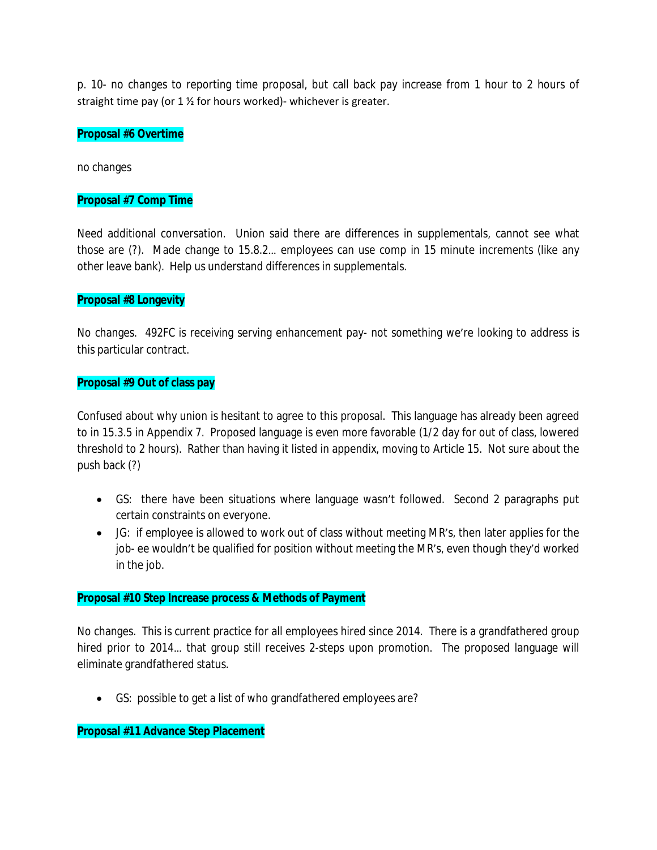p. 10- no changes to reporting time proposal, but call back pay increase from 1 hour to 2 hours of straight time pay (or 1 ½ for hours worked)- whichever is greater.

### **Proposal #6 Overtime**

no changes

### **Proposal #7 Comp Time**

Need additional conversation. Union said there are differences in supplementals, cannot see what those are (?). Made change to 15.8.2… employees can use comp in 15 minute increments (like any other leave bank). Help us understand differences in supplementals.

### **Proposal #8 Longevity**

No changes. 492FC is receiving serving enhancement pay- not something we're looking to address is this particular contract.

### **Proposal #9 Out of class pay**

Confused about why union is hesitant to agree to this proposal. This language has already been agreed to in 15.3.5 in Appendix 7. Proposed language is even more favorable (1/2 day for out of class, lowered threshold to 2 hours). Rather than having it listed in appendix, moving to Article 15. Not sure about the push back (?)

- GS: there have been situations where language wasn't followed. Second 2 paragraphs put certain constraints on everyone.
- JG: if employee is allowed to work out of class without meeting MR's, then later applies for the job- ee wouldn't be qualified for position without meeting the MR's, even though they'd worked in the job.

#### **Proposal #10 Step Increase process & Methods of Payment**

No changes. This is current practice for all employees hired since 2014. There is a grandfathered group hired prior to 2014… that group still receives 2-steps upon promotion. The proposed language will eliminate grandfathered status.

GS: possible to get a list of who grandfathered employees are?

## **Proposal #11 Advance Step Placement**